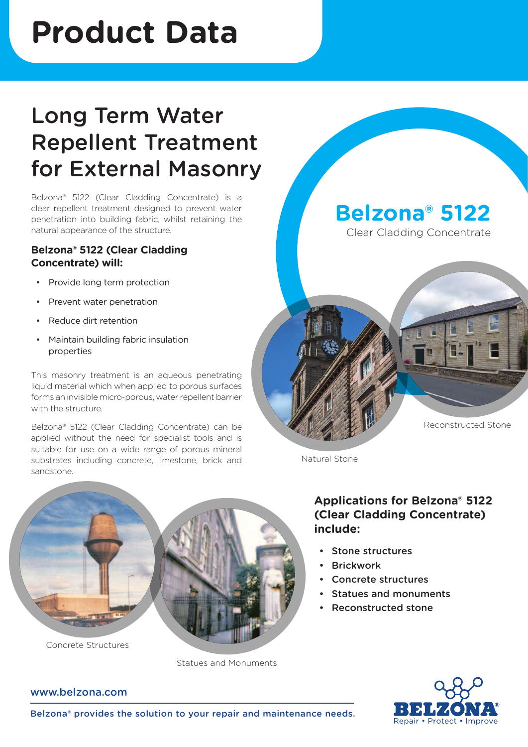# **Product Data**

## Long Term Water Repellent Treatment for External Masonry

Belzona® 5122 (Clear Cladding Concentrate) is a clear repellent treatment designed to prevent water penetration into building fabric, whilst retaining the natural appearance of the structure.

## **Belzona® 5122 (Clear Cladding Concentrate) will:**

- Provide long term protection
- Prevent water penetration
- Reduce dirt retention
- • Maintain building fabric insulation properties

This masonry treatment is an aqueous penetrating liquid material which when applied to porous surfaces forms an invisible micro-porous, water repellent barrier with the structure.

Belzona® 5122 (Clear Cladding Concentrate) can be applied without the need for specialist tools and is suitable for use on a wide range of porous mineral substrates including concrete, limestone, brick and sandstone.

**Belzona® 5122**

Clear Cladding Concentrate



Natural Stone



Concrete Structures

Statues and Monuments

## **Applications for Belzona® 5122 (Clear Cladding Concentrate) include:**

- Stone structures
- **Brickwork**
- Concrete structures
- Statues and monuments
- Reconstructed stone



### www.belzona.com

Belzona® provides the solution to your repair and maintenance needs.